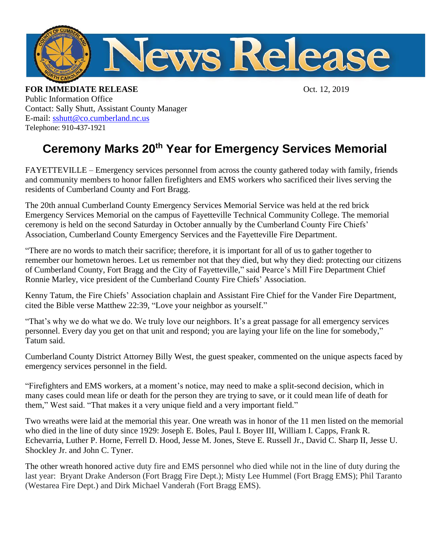

**FOR IMMEDIATE RELEASE** Oct. 12, 2019 Public Information Office Contact: Sally Shutt, Assistant County Manager E-mail: [sshutt@co.cumberland.nc.us](mailto:sshutt@co.cumberland.nc.us)  Telephone: 910-437-1921

## **Ceremony Marks 20th Year for Emergency Services Memorial**

FAYETTEVILLE – Emergency services personnel from across the county gathered today with family, friends and community members to honor fallen firefighters and EMS workers who sacrificed their lives serving the residents of Cumberland County and Fort Bragg.

The 20th annual Cumberland County Emergency Services Memorial Service was held at the red brick Emergency Services Memorial on the campus of Fayetteville Technical Community College. The memorial ceremony is held on the second Saturday in October annually by the Cumberland County Fire Chiefs' Association, Cumberland County Emergency Services and the Fayetteville Fire Department.

"There are no words to match their sacrifice; therefore, it is important for all of us to gather together to remember our hometown heroes. Let us remember not that they died, but why they died: protecting our citizens of Cumberland County, Fort Bragg and the City of Fayetteville," said Pearce's Mill Fire Department Chief Ronnie Marley, vice president of the Cumberland County Fire Chiefs' Association.

Kenny Tatum, the Fire Chiefs' Association chaplain and Assistant Fire Chief for the Vander Fire Department, cited the Bible verse Matthew 22:39, "Love your neighbor as yourself."

"That's why we do what we do. We truly love our neighbors. It's a great passage for all emergency services personnel. Every day you get on that unit and respond; you are laying your life on the line for somebody," Tatum said.

Cumberland County District Attorney Billy West, the guest speaker, commented on the unique aspects faced by emergency services personnel in the field.

"Firefighters and EMS workers, at a moment's notice, may need to make a split-second decision, which in many cases could mean life or death for the person they are trying to save, or it could mean life of death for them," West said. "That makes it a very unique field and a very important field."

Two wreaths were laid at the memorial this year. One wreath was in honor of the 11 men listed on the memorial who died in the line of duty since 1929: Joseph E. Boles, Paul I. Boyer III, William I. Capps, Frank R. Echevarria, Luther P. Horne, Ferrell D. Hood, Jesse M. Jones, Steve E. Russell Jr., David C. Sharp II, Jesse U. Shockley Jr. and John C. Tyner.

The other wreath honored active duty fire and EMS personnel who died while not in the line of duty during the last year: Bryant Drake Anderson (Fort Bragg Fire Dept.); Misty Lee Hummel (Fort Bragg EMS); Phil Taranto (Westarea Fire Dept.) and Dirk Michael Vanderah (Fort Bragg EMS).